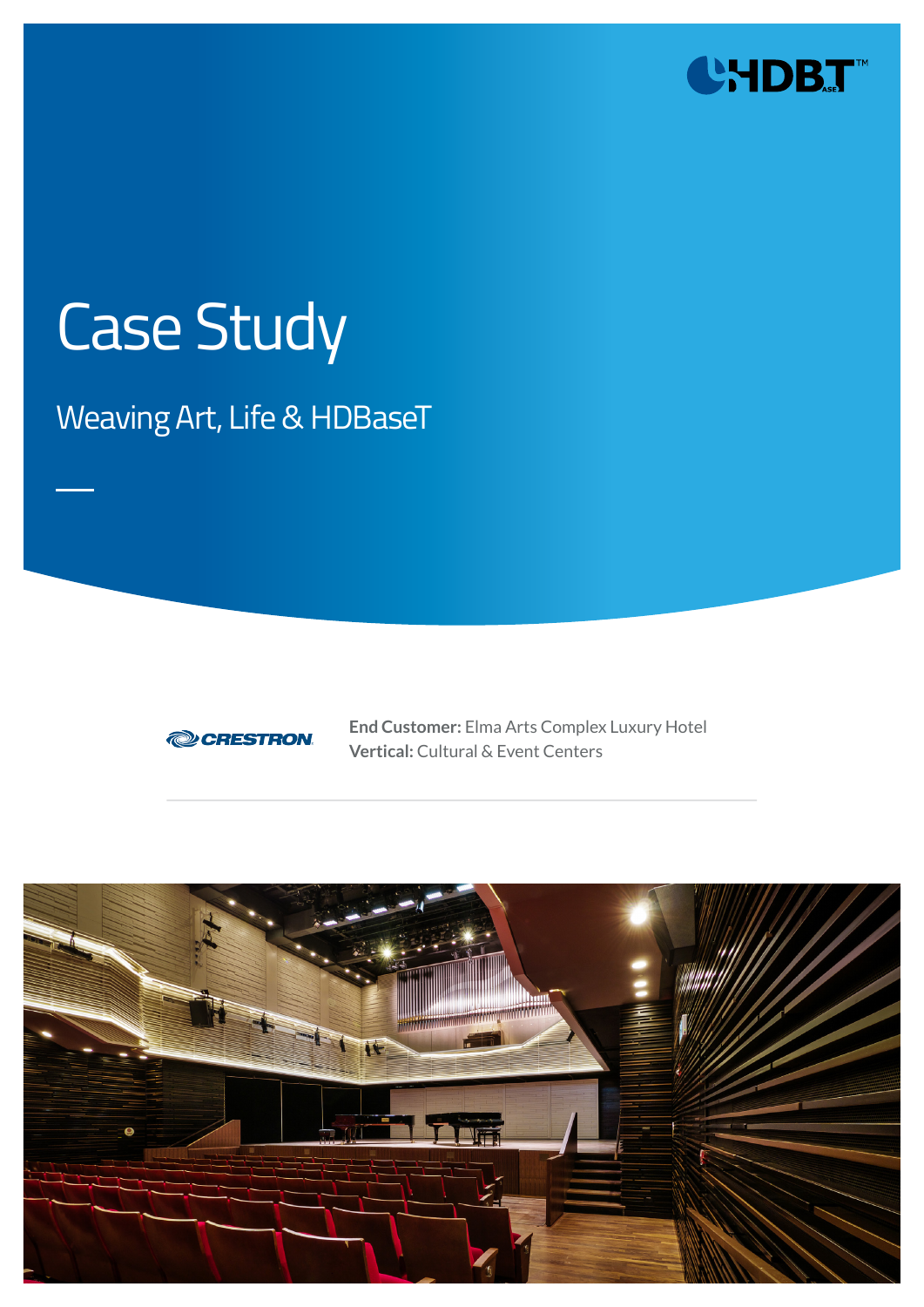

# Case Study

## Weaving Art, Life & HDBaseT



**End Customer:** Elma Arts Complex Luxury Hotel **Vertical:** Cultural & Event Centers